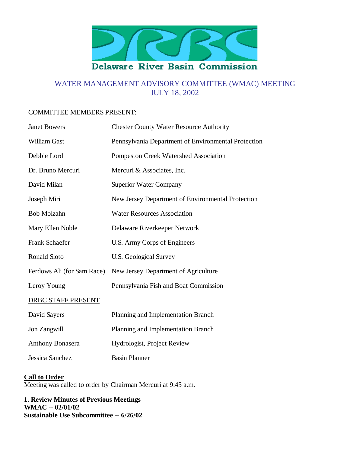

# WATER MANAGEMENT ADVISORY COMMITTEE (WMAC) MEETING JULY 18, 2002

## COMMITTEE MEMBERS PRESENT:

| <b>Janet Bowers</b>        | <b>Chester County Water Resource Authority</b>      |
|----------------------------|-----------------------------------------------------|
| <b>William Gast</b>        | Pennsylvania Department of Environmental Protection |
| Debbie Lord                | <b>Pompeston Creek Watershed Association</b>        |
| Dr. Bruno Mercuri          | Mercuri & Associates, Inc.                          |
| David Milan                | <b>Superior Water Company</b>                       |
| Joseph Miri                | New Jersey Department of Environmental Protection   |
| <b>Bob Molzahn</b>         | <b>Water Resources Association</b>                  |
| Mary Ellen Noble           | Delaware Riverkeeper Network                        |
| Frank Schaefer             | U.S. Army Corps of Engineers                        |
| <b>Ronald Sloto</b>        | <b>U.S. Geological Survey</b>                       |
| Ferdows Ali (for Sam Race) | New Jersey Department of Agriculture                |
| Leroy Young                | Pennsylvania Fish and Boat Commission               |
| DRBC STAFF PRESENT         |                                                     |
| David Sayers               | Planning and Implementation Branch                  |
| Jon Zangwill               | Planning and Implementation Branch                  |
| <b>Anthony Bonasera</b>    | Hydrologist, Project Review                         |
| Jessica Sanchez            | <b>Basin Planner</b>                                |

# **Call to Order**

Meeting was called to order by Chairman Mercuri at 9:45 a.m.

**1. Review Minutes of Previous Meetings WMAC -- 02/01/02 Sustainable Use Subcommittee -- 6/26/02**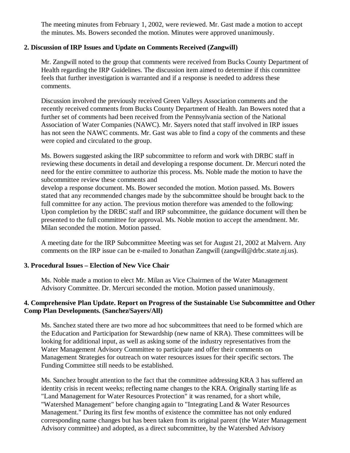The meeting minutes from February 1, 2002, were reviewed. Mr. Gast made a motion to accept the minutes. Ms. Bowers seconded the motion. Minutes were approved unanimously.

# **2. Discussion of IRP Issues and Update on Comments Received (Zangwill)**

Mr. Zangwill noted to the group that comments were received from Bucks County Department of Health regarding the IRP Guidelines. The discussion item aimed to determine if this committee feels that further investigation is warranted and if a response is needed to address these comments.

Discussion involved the previously received Green Valleys Association comments and the recently received comments from Bucks County Department of Health. Jan Bowers noted that a further set of comments had been received from the Pennsylvania section of the National Association of Water Companies (NAWC). Mr. Sayers noted that staff involved in IRP issues has not seen the NAWC comments. Mr. Gast was able to find a copy of the comments and these were copied and circulated to the group.

Ms. Bowers suggested asking the IRP subcommittee to reform and work with DRBC staff in reviewing these documents in detail and developing a response document. Dr. Mercuri noted the need for the entire committee to authorize this process. Ms. Noble made the motion to have the subcommittee review these comments and

develop a response document. Ms. Bower seconded the motion. Motion passed. Ms. Bowers stated that any recommended changes made by the subcommittee should be brought back to the full committee for any action. The previous motion therefore was amended to the following: Upon completion by the DRBC staff and IRP subcommittee, the guidance document will then be presented to the full committee for approval. Ms. Noble motion to accept the amendment. Mr. Milan seconded the motion. Motion passed.

A meeting date for the IRP Subcommittee Meeting was set for August 21, 2002 at Malvern. Any comments on the IRP issue can be e-mailed to Jonathan Zangwill (zangwill@drbc.state.nj.us).

#### **3. Procedural Issues – Election of New Vice Chair**

Ms. Noble made a motion to elect Mr. Milan as Vice Chairmen of the Water Management Advisory Committee. Dr. Mercuri seconded the motion. Motion passed unanimously.

## **4. Comprehensive Plan Update. Report on Progress of the Sustainable Use Subcommittee and Other Comp Plan Developments. (Sanchez/Sayers/All)**

Ms. Sanchez stated there are two more ad hoc subcommittees that need to be formed which are the Education and Participation for Stewardship (new name of KRA). These committees will be looking for additional input, as well as asking some of the industry representatives from the Water Management Advisory Committee to participate and offer their comments on Management Strategies for outreach on water resources issues for their specific sectors. The Funding Committee still needs to be established.

Ms. Sanchez brought attention to the fact that the committee addressing KRA 3 has suffered an identity crisis in recent weeks; reflecting name changes to the KRA. Originally starting life as "Land Management for Water Resources Protection" it was renamed, for a short while, "Watershed Management" before changing again to "Integrating Land & Water Resources Management." During its first few months of existence the committee has not only endured corresponding name changes but has been taken from its original parent (the Water Management Advisory committee) and adopted, as a direct subcommittee, by the Watershed Advisory